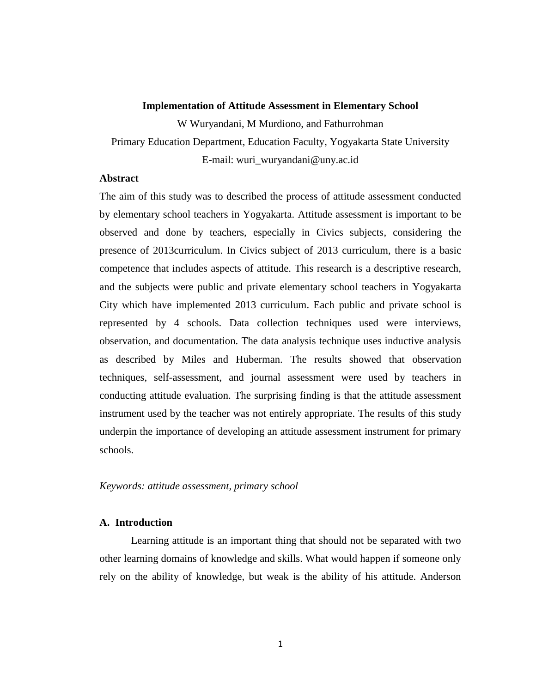#### **Implementation of Attitude Assessment in Elementary School**

W Wuryandani, M Murdiono, and Fathurrohman

Primary Education Department, Education Faculty, Yogyakarta State University

E-mail: wuri\_wuryandani@uny.ac.id

# **Abstract**

The aim of this study was to described the process of attitude assessment conducted by elementary school teachers in Yogyakarta. Attitude assessment is important to be observed and done by teachers, especially in Civics subjects, considering the presence of 2013curriculum. In Civics subject of 2013 curriculum, there is a basic competence that includes aspects of attitude. This research is a descriptive research, and the subjects were public and private elementary school teachers in Yogyakarta City which have implemented 2013 curriculum. Each public and private school is represented by 4 schools. Data collection techniques used were interviews, observation, and documentation. The data analysis technique uses inductive analysis as described by Miles and Huberman. The results showed that observation techniques, self-assessment, and journal assessment were used by teachers in conducting attitude evaluation. The surprising finding is that the attitude assessment instrument used by the teacher was not entirely appropriate. The results of this study underpin the importance of developing an attitude assessment instrument for primary schools.

## *Keywords: attitude assessment, primary school*

## **A. Introduction**

Learning attitude is an important thing that should not be separated with two other learning domains of knowledge and skills. What would happen if someone only rely on the ability of knowledge, but weak is the ability of his attitude. Anderson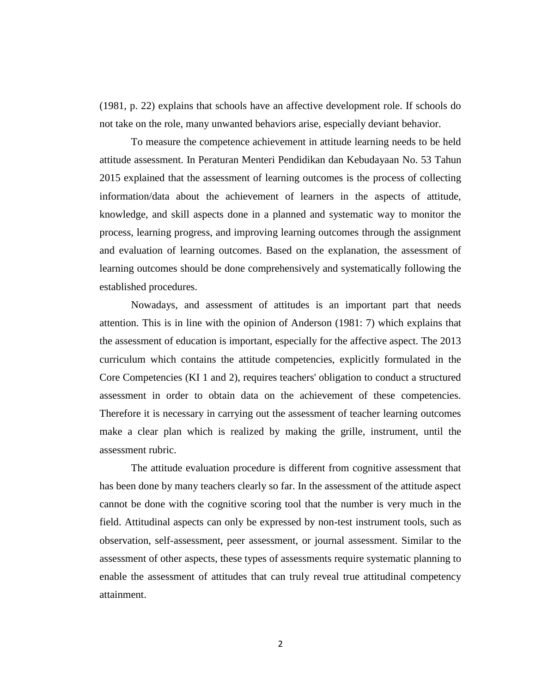(1981, p. 22) explains that schools have an affective development role. If schools do not take on the role, many unwanted behaviors arise, especially deviant behavior.

To measure the competence achievement in attitude learning needs to be held attitude assessment. In Peraturan Menteri Pendidikan dan Kebudayaan No. 53 Tahun 2015 explained that the assessment of learning outcomes is the process of collecting information/data about the achievement of learners in the aspects of attitude, knowledge, and skill aspects done in a planned and systematic way to monitor the process, learning progress, and improving learning outcomes through the assignment and evaluation of learning outcomes. Based on the explanation, the assessment of learning outcomes should be done comprehensively and systematically following the established procedures.

Nowadays, and assessment of attitudes is an important part that needs attention. This is in line with the opinion of Anderson (1981: 7) which explains that the assessment of education is important, especially for the affective aspect. The 2013 curriculum which contains the attitude competencies, explicitly formulated in the Core Competencies (KI 1 and 2), requires teachers' obligation to conduct a structured assessment in order to obtain data on the achievement of these competencies. Therefore it is necessary in carrying out the assessment of teacher learning outcomes make a clear plan which is realized by making the grille, instrument, until the assessment rubric.

The attitude evaluation procedure is different from cognitive assessment that has been done by many teachers clearly so far. In the assessment of the attitude aspect cannot be done with the cognitive scoring tool that the number is very much in the field. Attitudinal aspects can only be expressed by non-test instrument tools, such as observation, self-assessment, peer assessment, or journal assessment. Similar to the assessment of other aspects, these types of assessments require systematic planning to enable the assessment of attitudes that can truly reveal true attitudinal competency attainment.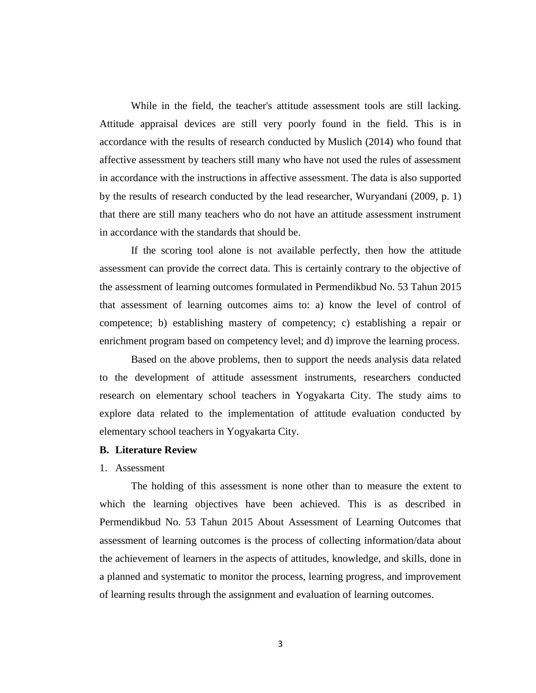While in the field, the teacher's attitude assessment tools are still lacking. Attitude appraisal devices are still very poorly found in the field. This is in accordance with the results of research conducted by Muslich (2014) who found that affective assessment by teachers still many who have not used the rules of assessment in accordance with the instructions in affective assessment. The data is also supported by the results of research conducted by the lead researcher, Wuryandani (2009, p. 1) that there are still many teachers who do not have an attitude assessment instrument in accordance with the standards that should be.

If the scoring tool alone is not available perfectly, then how the attitude assessment can provide the correct data. This is certainly contrary to the objective of the assessment of learning outcomes formulated in Permendikbud No. 53 Tahun 2015 that assessment of learning outcomes aims to: a) know the level of control of competence; b) establishing mastery of competency; c) establishing a repair or enrichment program based on competency level; and d) improve the learning process.

Based on the above problems, then to support the needs analysis data related to the development of attitude assessment instruments, researchers conducted research on elementary school teachers in Yogyakarta City. The study aims to explore data related to the implementation of attitude evaluation conducted by elementary school teachers in Yogyakarta City.

### **B. Literature Review**

## 1. Assessment

The holding of this assessment is none other than to measure the extent to which the learning objectives have been achieved. This is as described in Permendikbud No. 53 Tahun 2015 About Assessment of Learning Outcomes that assessment of learning outcomes is the process of collecting information/data about the achievement of learners in the aspects of attitudes, knowledge, and skills, done in a planned and systematic to monitor the process, learning progress, and improvement of learning results through the assignment and evaluation of learning outcomes.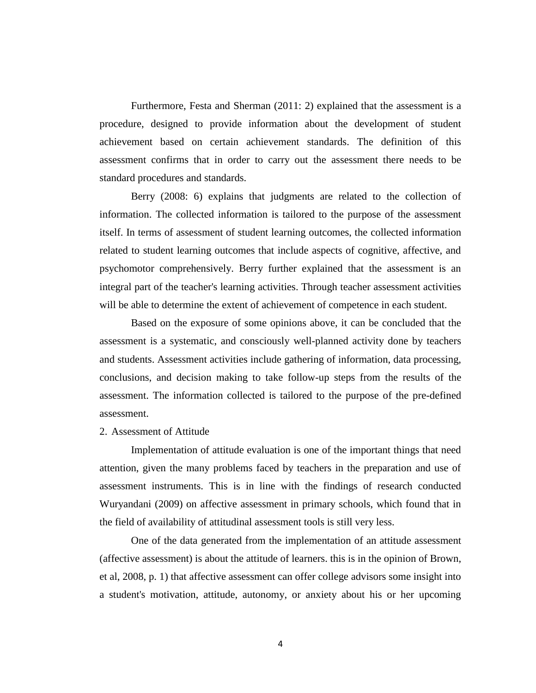Furthermore, Festa and Sherman (2011: 2) explained that the assessment is a procedure, designed to provide information about the development of student achievement based on certain achievement standards. The definition of this assessment confirms that in order to carry out the assessment there needs to be standard procedures and standards.

Berry (2008: 6) explains that judgments are related to the collection of information. The collected information is tailored to the purpose of the assessment itself. In terms of assessment of student learning outcomes, the collected information related to student learning outcomes that include aspects of cognitive, affective, and psychomotor comprehensively. Berry further explained that the assessment is an integral part of the teacher's learning activities. Through teacher assessment activities will be able to determine the extent of achievement of competence in each student.

Based on the exposure of some opinions above, it can be concluded that the assessment is a systematic, and consciously well-planned activity done by teachers and students. Assessment activities include gathering of information, data processing, conclusions, and decision making to take follow-up steps from the results of the assessment. The information collected is tailored to the purpose of the pre-defined assessment.

### 2. Assessment of Attitude

Implementation of attitude evaluation is one of the important things that need attention, given the many problems faced by teachers in the preparation and use of assessment instruments. This is in line with the findings of research conducted Wuryandani (2009) on affective assessment in primary schools, which found that in the field of availability of attitudinal assessment tools is still very less.

One of the data generated from the implementation of an attitude assessment (affective assessment) is about the attitude of learners. this is in the opinion of Brown, et al, 2008, p. 1) that affective assessment can offer college advisors some insight into a student's motivation, attitude, autonomy, or anxiety about his or her upcoming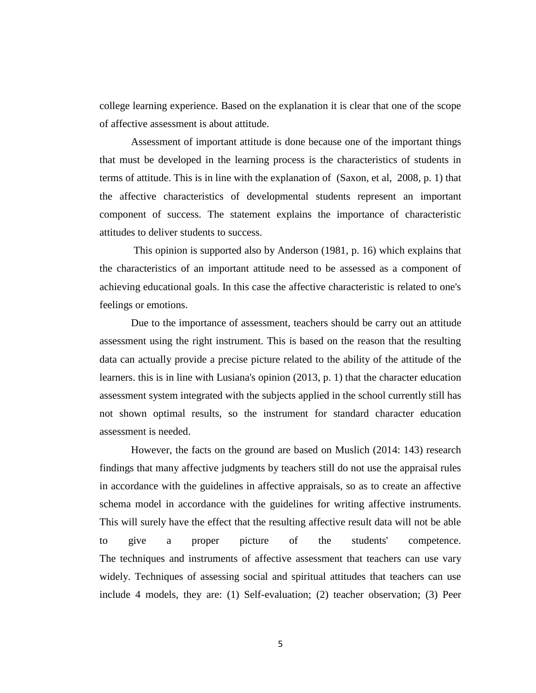college learning experience. Based on the explanation it is clear that one of the scope of affective assessment is about attitude.

Assessment of important attitude is done because one of the important things that must be developed in the learning process is the characteristics of students in terms of attitude. This is in line with the explanation of (Saxon, et al, 2008, p. 1) that the affective characteristics of developmental students represent an important component of success. The statement explains the importance of characteristic attitudes to deliver students to success.

This opinion is supported also by Anderson (1981, p. 16) which explains that the characteristics of an important attitude need to be assessed as a component of achieving educational goals. In this case the affective characteristic is related to one's feelings or emotions.

Due to the importance of assessment, teachers should be carry out an attitude assessment using the right instrument. This is based on the reason that the resulting data can actually provide a precise picture related to the ability of the attitude of the learners. this is in line with Lusiana's opinion (2013, p. 1) that the character education assessment system integrated with the subjects applied in the school currently still has not shown optimal results, so the instrument for standard character education assessment is needed.

However, the facts on the ground are based on Muslich (2014: 143) research findings that many affective judgments by teachers still do not use the appraisal rules in accordance with the guidelines in affective appraisals, so as to create an affective schema model in accordance with the guidelines for writing affective instruments. This will surely have the effect that the resulting affective result data will not be able to give a proper picture of the students' competence. The techniques and instruments of affective assessment that teachers can use vary widely. Techniques of assessing social and spiritual attitudes that teachers can use include 4 models, they are: (1) Self-evaluation; (2) teacher observation; (3) Peer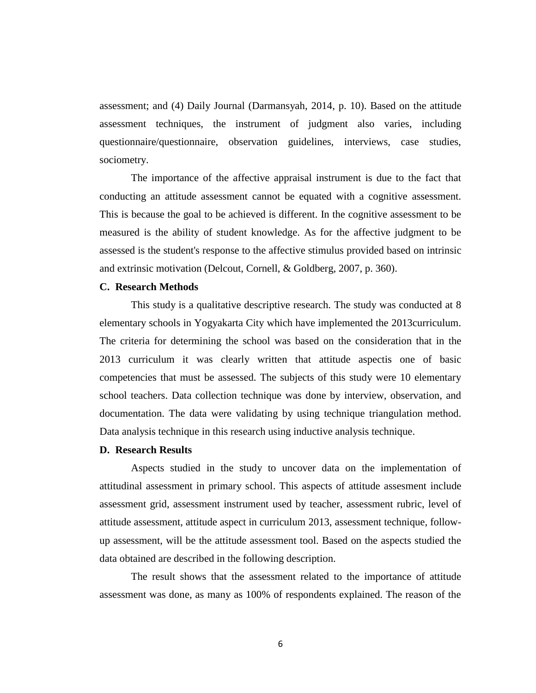assessment; and (4) Daily Journal (Darmansyah, 2014, p. 10). Based on the attitude assessment techniques, the instrument of judgment also varies, including questionnaire/questionnaire, observation guidelines, interviews, case studies, sociometry.

The importance of the affective appraisal instrument is due to the fact that conducting an attitude assessment cannot be equated with a cognitive assessment. This is because the goal to be achieved is different. In the cognitive assessment to be measured is the ability of student knowledge. As for the affective judgment to be assessed is the student's response to the affective stimulus provided based on intrinsic and extrinsic motivation (Delcout, Cornell, & Goldberg, 2007, p. 360).

#### **C. Research Methods**

This study is a qualitative descriptive research. The study was conducted at 8 elementary schools in Yogyakarta City which have implemented the 2013curriculum. The criteria for determining the school was based on the consideration that in the 2013 curriculum it was clearly written that attitude aspectis one of basic competencies that must be assessed. The subjects of this study were 10 elementary school teachers. Data collection technique was done by interview, observation, and documentation. The data were validating by using technique triangulation method. Data analysis technique in this research using inductive analysis technique.

## **D. Research Results**

Aspects studied in the study to uncover data on the implementation of attitudinal assessment in primary school. This aspects of attitude assesment include assessment grid, assessment instrument used by teacher, assessment rubric, level of attitude assessment, attitude aspect in curriculum 2013, assessment technique, followup assessment, will be the attitude assessment tool. Based on the aspects studied the data obtained are described in the following description.

The result shows that the assessment related to the importance of attitude assessment was done, as many as 100% of respondents explained. The reason of the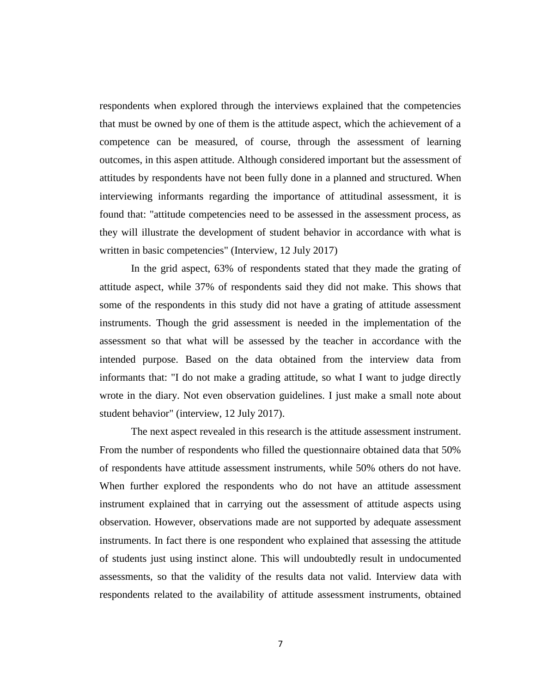respondents when explored through the interviews explained that the competencies that must be owned by one of them is the attitude aspect, which the achievement of a competence can be measured, of course, through the assessment of learning outcomes, in this aspen attitude. Although considered important but the assessment of attitudes by respondents have not been fully done in a planned and structured. When interviewing informants regarding the importance of attitudinal assessment, it is found that: "attitude competencies need to be assessed in the assessment process, as they will illustrate the development of student behavior in accordance with what is written in basic competencies" (Interview, 12 July 2017)

In the grid aspect, 63% of respondents stated that they made the grating of attitude aspect, while 37% of respondents said they did not make. This shows that some of the respondents in this study did not have a grating of attitude assessment instruments. Though the grid assessment is needed in the implementation of the assessment so that what will be assessed by the teacher in accordance with the intended purpose. Based on the data obtained from the interview data from informants that: "I do not make a grading attitude, so what I want to judge directly wrote in the diary. Not even observation guidelines. I just make a small note about student behavior" (interview, 12 July 2017).

The next aspect revealed in this research is the attitude assessment instrument. From the number of respondents who filled the questionnaire obtained data that 50% of respondents have attitude assessment instruments, while 50% others do not have. When further explored the respondents who do not have an attitude assessment instrument explained that in carrying out the assessment of attitude aspects using observation. However, observations made are not supported by adequate assessment instruments. In fact there is one respondent who explained that assessing the attitude of students just using instinct alone. This will undoubtedly result in undocumented assessments, so that the validity of the results data not valid. Interview data with respondents related to the availability of attitude assessment instruments, obtained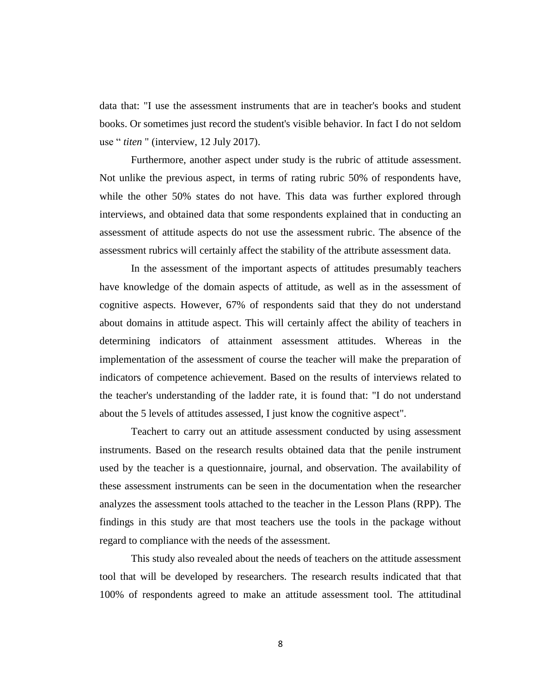data that: "I use the assessment instruments that are in teacher's books and student books. Or sometimes just record the student's visible behavior. In fact I do not seldom use " *titen* " (interview, 12 July 2017).

Furthermore, another aspect under study is the rubric of attitude assessment. Not unlike the previous aspect, in terms of rating rubric 50% of respondents have, while the other 50% states do not have. This data was further explored through interviews, and obtained data that some respondents explained that in conducting an assessment of attitude aspects do not use the assessment rubric. The absence of the assessment rubrics will certainly affect the stability of the attribute assessment data.

In the assessment of the important aspects of attitudes presumably teachers have knowledge of the domain aspects of attitude, as well as in the assessment of cognitive aspects. However, 67% of respondents said that they do not understand about domains in attitude aspect. This will certainly affect the ability of teachers in determining indicators of attainment assessment attitudes. Whereas in the implementation of the assessment of course the teacher will make the preparation of indicators of competence achievement. Based on the results of interviews related to the teacher's understanding of the ladder rate, it is found that: "I do not understand about the 5 levels of attitudes assessed, I just know the cognitive aspect".

Teachert to carry out an attitude assessment conducted by using assessment instruments. Based on the research results obtained data that the penile instrument used by the teacher is a questionnaire, journal, and observation. The availability of these assessment instruments can be seen in the documentation when the researcher analyzes the assessment tools attached to the teacher in the Lesson Plans (RPP). The findings in this study are that most teachers use the tools in the package without regard to compliance with the needs of the assessment.

This study also revealed about the needs of teachers on the attitude assessment tool that will be developed by researchers. The research results indicated that that 100% of respondents agreed to make an attitude assessment tool. The attitudinal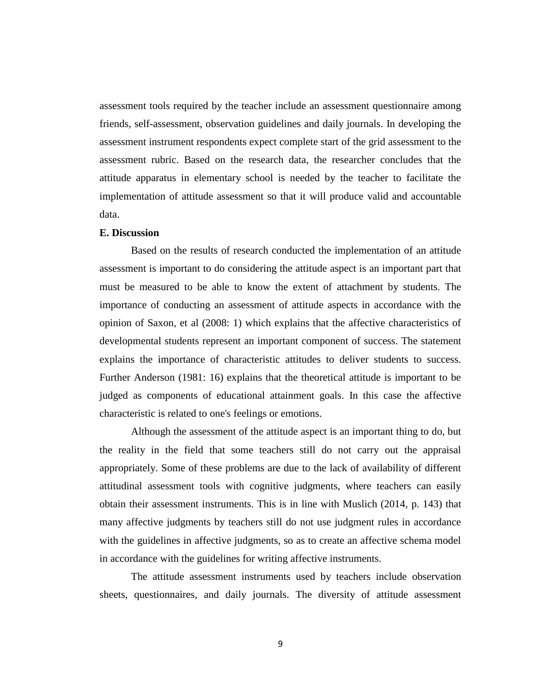assessment tools required by the teacher include an assessment questionnaire among friends, self-assessment, observation guidelines and daily journals. In developing the assessment instrument respondents expect complete start of the grid assessment to the assessment rubric. Based on the research data, the researcher concludes that the attitude apparatus in elementary school is needed by the teacher to facilitate the implementation of attitude assessment so that it will produce valid and accountable data.

#### **E. Discussion**

Based on the results of research conducted the implementation of an attitude assessment is important to do considering the attitude aspect is an important part that must be measured to be able to know the extent of attachment by students. The importance of conducting an assessment of attitude aspects in accordance with the opinion of Saxon, et al (2008: 1) which explains that the affective characteristics of developmental students represent an important component of success. The statement explains the importance of characteristic attitudes to deliver students to success. Further Anderson (1981: 16) explains that the theoretical attitude is important to be judged as components of educational attainment goals. In this case the affective characteristic is related to one's feelings or emotions.

Although the assessment of the attitude aspect is an important thing to do, but the reality in the field that some teachers still do not carry out the appraisal appropriately. Some of these problems are due to the lack of availability of different attitudinal assessment tools with cognitive judgments, where teachers can easily obtain their assessment instruments. This is in line with Muslich (2014, p. 143) that many affective judgments by teachers still do not use judgment rules in accordance with the guidelines in affective judgments, so as to create an affective schema model in accordance with the guidelines for writing affective instruments.

The attitude assessment instruments used by teachers include observation sheets, questionnaires, and daily journals. The diversity of attitude assessment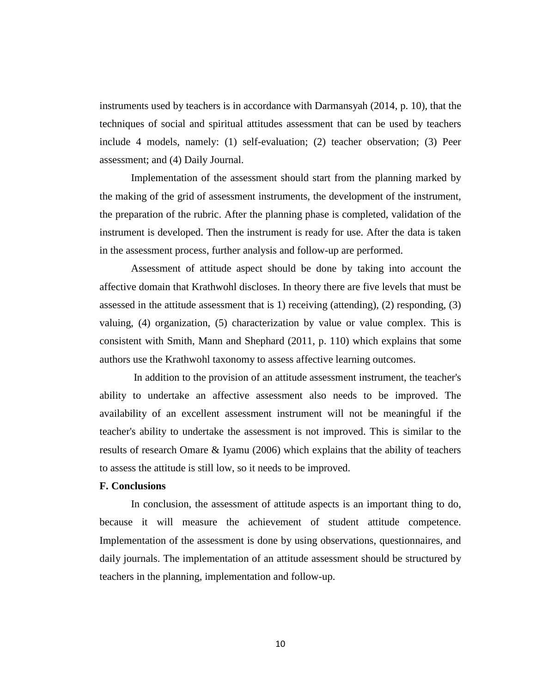instruments used by teachers is in accordance with Darmansyah (2014, p. 10), that the techniques of social and spiritual attitudes assessment that can be used by teachers include 4 models, namely: (1) self-evaluation; (2) teacher observation; (3) Peer assessment; and (4) Daily Journal.

Implementation of the assessment should start from the planning marked by the making of the grid of assessment instruments, the development of the instrument, the preparation of the rubric. After the planning phase is completed, validation of the instrument is developed. Then the instrument is ready for use. After the data is taken in the assessment process, further analysis and follow-up are performed.

Assessment of attitude aspect should be done by taking into account the affective domain that Krathwohl discloses. In theory there are five levels that must be assessed in the attitude assessment that is 1) receiving (attending), (2) responding, (3) valuing, (4) organization, (5) characterization by value or value complex. This is consistent with Smith, Mann and Shephard (2011, p. 110) which explains that some authors use the Krathwohl taxonomy to assess affective learning outcomes.

In addition to the provision of an attitude assessment instrument, the teacher's ability to undertake an affective assessment also needs to be improved. The availability of an excellent assessment instrument will not be meaningful if the teacher's ability to undertake the assessment is not improved. This is similar to the results of research Omare & Iyamu (2006) which explains that the ability of teachers to assess the attitude is still low, so it needs to be improved.

# **F. Conclusions**

In conclusion, the assessment of attitude aspects is an important thing to do, because it will measure the achievement of student attitude competence. Implementation of the assessment is done by using observations, questionnaires, and daily journals. The implementation of an attitude assessment should be structured by teachers in the planning, implementation and follow-up.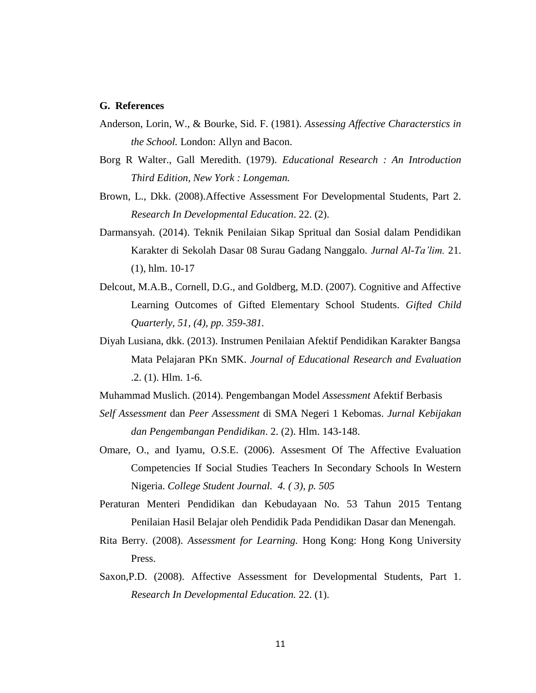### **G. References**

- Anderson, Lorin, W., & Bourke, Sid. F. (1981). *Assessing Affective Characterstics in the School.* London: Allyn and Bacon.
- Borg R Walter., Gall Meredith. (1979). *Educational Research : An Introduction Third Edition, New York : Longeman.*
- Brown, L., Dkk. (2008).Affective Assessment For Developmental Students, Part 2. *Research In Developmental Education*. 22. (2).
- Darmansyah. (2014). Teknik Penilaian Sikap Spritual dan Sosial dalam Pendidikan Karakter di Sekolah Dasar 08 Surau Gadang Nanggalo. *Jurnal Al-Ta'lim.* 21. (1), hlm. 10-17
- Delcout, M.A.B., Cornell, D.G., and Goldberg, M.D. (2007). Cognitive and Affective Learning Outcomes of Gifted Elementary School Students. *Gifted Child Quarterly, 51, (4), pp. 359-381.*
- Diyah Lusiana, dkk. (2013). Instrumen Penilaian Afektif Pendidikan Karakter Bangsa Mata Pelajaran PKn SMK. *Journal of Educational Research and Evaluation* .2. (1). Hlm. 1-6.
- Muhammad Muslich. (2014). Pengembangan Model *Assessment* Afektif Berbasis
- *Self Assessment* dan *Peer Assessment* di SMA Negeri 1 Kebomas. *Jurnal Kebijakan dan Pengembangan Pendidikan*. 2. (2). Hlm. 143-148.
- Omare, O., and Iyamu, O.S.E. (2006). Assesment Of The Affective Evaluation Competencies If Social Studies Teachers In Secondary Schools In Western Nigeria. *College Student Journal. 4. ( 3), p. 505*
- Peraturan Menteri Pendidikan dan Kebudayaan No. 53 Tahun 2015 Tentang Penilaian Hasil Belajar oleh Pendidik Pada Pendidikan Dasar dan Menengah.
- Rita Berry. (2008). *Assessment for Learning.* Hong Kong: Hong Kong University Press.
- Saxon,P.D. (2008). Affective Assessment for Developmental Students, Part 1. *Research In Developmental Education.* 22. (1).